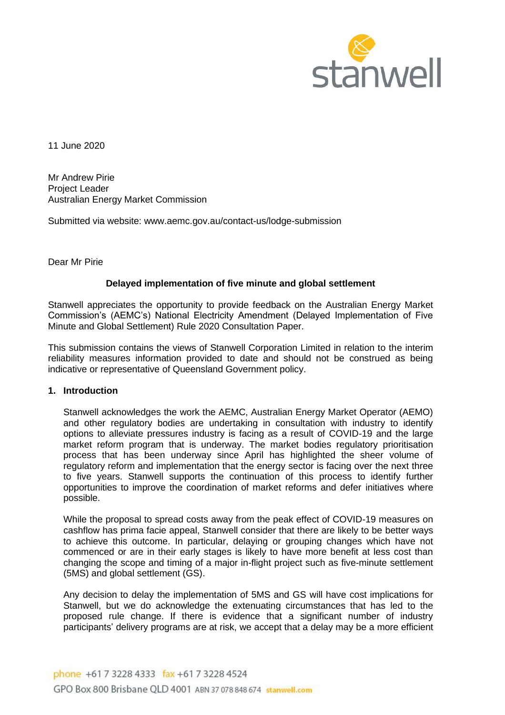

11 June 2020

Mr Andrew Pirie Project Leader Australian Energy Market Commission

Submitted via website: www.aemc.gov.au/contact-us/lodge-submission

Dear Mr Pirie

# **Delayed implementation of five minute and global settlement**

Stanwell appreciates the opportunity to provide feedback on the Australian Energy Market Commission's (AEMC's) National Electricity Amendment (Delayed Implementation of Five Minute and Global Settlement) Rule 2020 Consultation Paper.

This submission contains the views of Stanwell Corporation Limited in relation to the interim reliability measures information provided to date and should not be construed as being indicative or representative of Queensland Government policy.

# **1. Introduction**

Stanwell acknowledges the work the AEMC, Australian Energy Market Operator (AEMO) and other regulatory bodies are undertaking in consultation with industry to identify options to alleviate pressures industry is facing as a result of COVID-19 and the large market reform program that is underway. The market bodies regulatory prioritisation process that has been underway since April has highlighted the sheer volume of regulatory reform and implementation that the energy sector is facing over the next three to five years. Stanwell supports the continuation of this process to identify further opportunities to improve the coordination of market reforms and defer initiatives where possible.

While the proposal to spread costs away from the peak effect of COVID-19 measures on cashflow has prima facie appeal, Stanwell consider that there are likely to be better ways to achieve this outcome. In particular, delaying or grouping changes which have not commenced or are in their early stages is likely to have more benefit at less cost than changing the scope and timing of a major in-flight project such as five-minute settlement (5MS) and global settlement (GS).

Any decision to delay the implementation of 5MS and GS will have cost implications for Stanwell, but we do acknowledge the extenuating circumstances that has led to the proposed rule change. If there is evidence that a significant number of industry participants' delivery programs are at risk, we accept that a delay may be a more efficient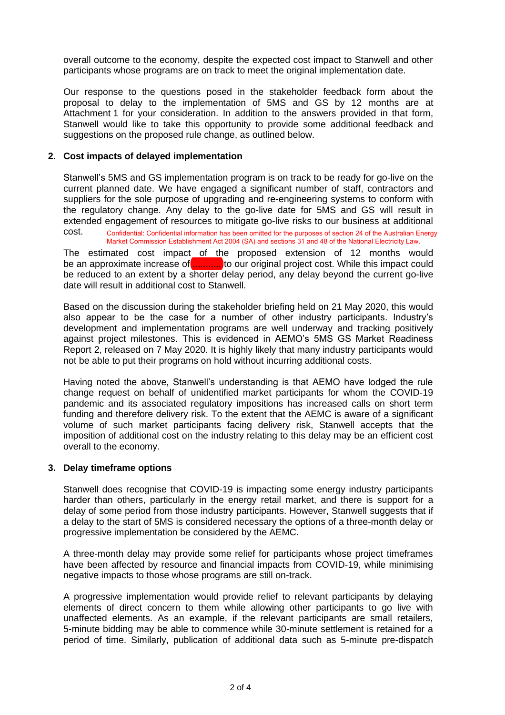overall outcome to the economy, despite the expected cost impact to Stanwell and other participants whose programs are on track to meet the original implementation date.

Our response to the questions posed in the stakeholder feedback form about the proposal to delay to the implementation of 5MS and GS by 12 months are at Attachment 1 for your consideration. In addition to the answers provided in that form, Stanwell would like to take this opportunity to provide some additional feedback and suggestions on the proposed rule change, as outlined below.

# **2. Cost impacts of delayed implementation**

Stanwell's 5MS and GS implementation program is on track to be ready for go-live on the current planned date. We have engaged a significant number of staff, contractors and suppliers for the sole purpose of upgrading and re-engineering systems to conform with the regulatory change. Any delay to the go-live date for 5MS and GS will result in extended engagement of resources to mitigate go-live risks to our business at additional

cost. Confidential: Confidential information has been omitted for the purposes of section 24 of the Australian Energy Market Commission Establishment Act 2004 (SA) and sections 31 and 48 of the National Electricity Law.

The estimated cost impact of the proposed extension of 12 months would be an approximate increase of ........... to our original project cost. While this impact could be reduced to an extent by a shorter delay period, any delay beyond the current go-live date will result in additional cost to Stanwell.

Based on the discussion during the stakeholder briefing held on 21 May 2020, this would also appear to be the case for a number of other industry participants. Industry's development and implementation programs are well underway and tracking positively against project milestones. This is evidenced in AEMO's 5MS GS Market Readiness Report 2, released on 7 May 2020. It is highly likely that many industry participants would not be able to put their programs on hold without incurring additional costs.

Having noted the above, Stanwell's understanding is that AEMO have lodged the rule change request on behalf of unidentified market participants for whom the COVID-19 pandemic and its associated regulatory impositions has increased calls on short term funding and therefore delivery risk. To the extent that the AEMC is aware of a significant volume of such market participants facing delivery risk, Stanwell accepts that the imposition of additional cost on the industry relating to this delay may be an efficient cost overall to the economy.

# **3. Delay timeframe options**

Stanwell does recognise that COVID-19 is impacting some energy industry participants harder than others, particularly in the energy retail market, and there is support for a delay of some period from those industry participants. However, Stanwell suggests that if a delay to the start of 5MS is considered necessary the options of a three-month delay or progressive implementation be considered by the AEMC.

A three-month delay may provide some relief for participants whose project timeframes have been affected by resource and financial impacts from COVID-19, while minimising negative impacts to those whose programs are still on-track.

A progressive implementation would provide relief to relevant participants by delaying elements of direct concern to them while allowing other participants to go live with unaffected elements. As an example, if the relevant participants are small retailers, 5-minute bidding may be able to commence while 30-minute settlement is retained for a period of time. Similarly, publication of additional data such as 5-minute pre-dispatch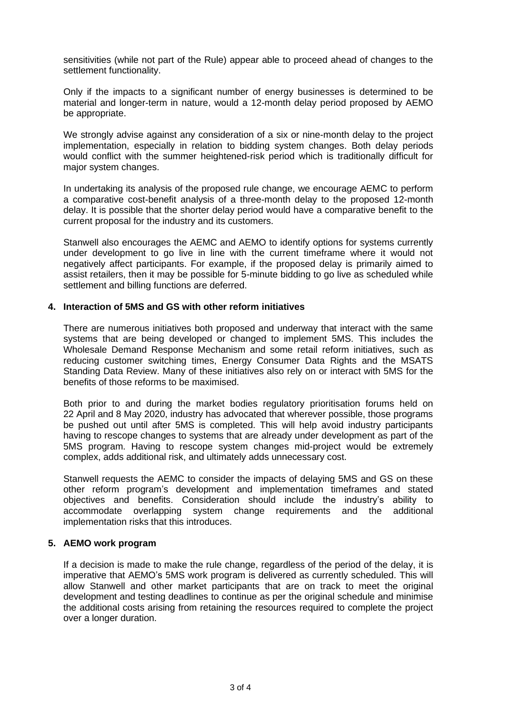sensitivities (while not part of the Rule) appear able to proceed ahead of changes to the settlement functionality.

Only if the impacts to a significant number of energy businesses is determined to be material and longer-term in nature, would a 12-month delay period proposed by AEMO be appropriate.

We strongly advise against any consideration of a six or nine-month delay to the project implementation, especially in relation to bidding system changes. Both delay periods would conflict with the summer heightened-risk period which is traditionally difficult for major system changes.

In undertaking its analysis of the proposed rule change, we encourage AEMC to perform a comparative cost-benefit analysis of a three-month delay to the proposed 12-month delay. It is possible that the shorter delay period would have a comparative benefit to the current proposal for the industry and its customers.

Stanwell also encourages the AEMC and AEMO to identify options for systems currently under development to go live in line with the current timeframe where it would not negatively affect participants. For example, if the proposed delay is primarily aimed to assist retailers, then it may be possible for 5-minute bidding to go live as scheduled while settlement and billing functions are deferred.

# **4. Interaction of 5MS and GS with other reform initiatives**

There are numerous initiatives both proposed and underway that interact with the same systems that are being developed or changed to implement 5MS. This includes the Wholesale Demand Response Mechanism and some retail reform initiatives, such as reducing customer switching times, Energy Consumer Data Rights and the MSATS Standing Data Review. Many of these initiatives also rely on or interact with 5MS for the benefits of those reforms to be maximised.

Both prior to and during the market bodies regulatory prioritisation forums held on 22 April and 8 May 2020, industry has advocated that wherever possible, those programs be pushed out until after 5MS is completed. This will help avoid industry participants having to rescope changes to systems that are already under development as part of the 5MS program. Having to rescope system changes mid-project would be extremely complex, adds additional risk, and ultimately adds unnecessary cost.

Stanwell requests the AEMC to consider the impacts of delaying 5MS and GS on these other reform program's development and implementation timeframes and stated objectives and benefits. Consideration should include the industry's ability to accommodate overlapping system change requirements and the additional implementation risks that this introduces.

# **5. AEMO work program**

If a decision is made to make the rule change, regardless of the period of the delay, it is imperative that AEMO's 5MS work program is delivered as currently scheduled. This will allow Stanwell and other market participants that are on track to meet the original development and testing deadlines to continue as per the original schedule and minimise the additional costs arising from retaining the resources required to complete the project over a longer duration.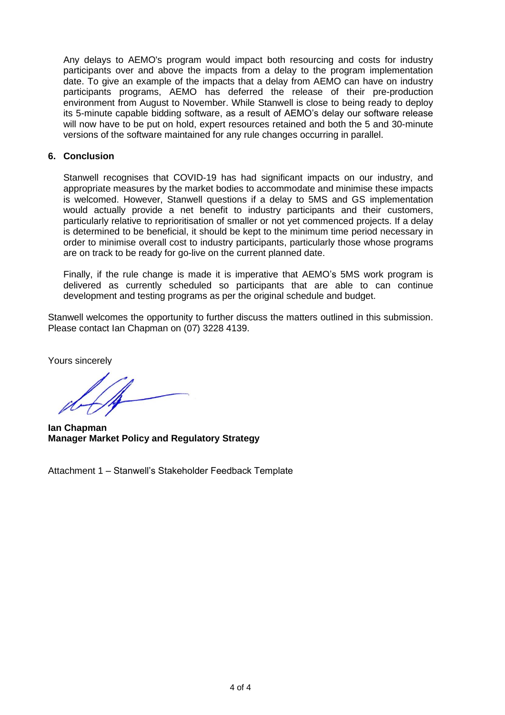Any delays to AEMO's program would impact both resourcing and costs for industry participants over and above the impacts from a delay to the program implementation date. To give an example of the impacts that a delay from AEMO can have on industry participants programs, AEMO has deferred the release of their pre-production environment from August to November. While Stanwell is close to being ready to deploy its 5-minute capable bidding software, as a result of AEMO's delay our software release will now have to be put on hold, expert resources retained and both the 5 and 30-minute versions of the software maintained for any rule changes occurring in parallel.

# **6. Conclusion**

Stanwell recognises that COVID-19 has had significant impacts on our industry, and appropriate measures by the market bodies to accommodate and minimise these impacts is welcomed. However, Stanwell questions if a delay to 5MS and GS implementation would actually provide a net benefit to industry participants and their customers, particularly relative to reprioritisation of smaller or not yet commenced projects. If a delay is determined to be beneficial, it should be kept to the minimum time period necessary in order to minimise overall cost to industry participants, particularly those whose programs are on track to be ready for go-live on the current planned date.

Finally, if the rule change is made it is imperative that AEMO's 5MS work program is delivered as currently scheduled so participants that are able to can continue development and testing programs as per the original schedule and budget.

Stanwell welcomes the opportunity to further discuss the matters outlined in this submission. Please contact Ian Chapman on (07) 3228 4139.

Yours sincerely

**Ian Chapman Manager Market Policy and Regulatory Strategy**

Attachment 1 – Stanwell's Stakeholder Feedback Template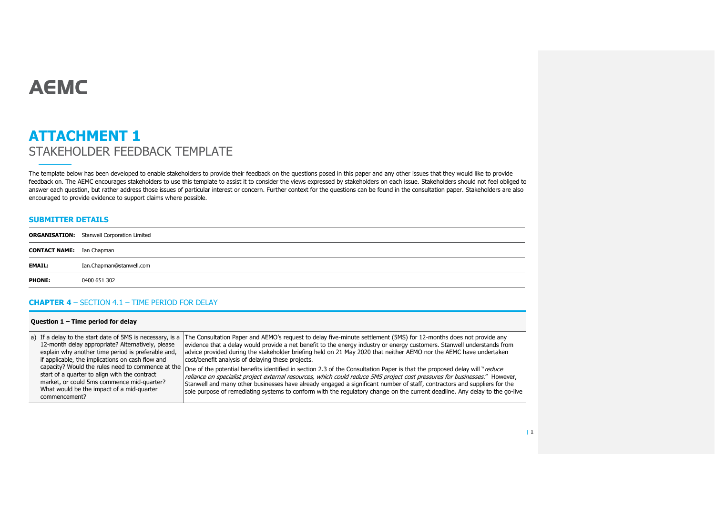# **AEMC**

# **ATTACHMENT 1** STAKEHOLDER FEEDBACK TEMPLATE

The template below has been developed to enable stakeholders to provide their feedback on the questions posed in this paper and any other issues that they would like to provide feedback on. The AEMC encourages stakeholders to use this template to assist it to consider the views expressed by stakeholders on each issue. Stakeholders should not feel obliged to answer each question, but rather address those issues of particular interest or concern. Further context for the questions can be found in the consultation paper. Stakeholders are also encouraged to provide evidence to support claims where possible.

#### **SUBMITTER DETAILS**

|                                  | <b>ORGANISATION:</b> Stanwell Corporation Limited |
|----------------------------------|---------------------------------------------------|
| <b>CONTACT NAME:</b> Ian Chapman |                                                   |
| EMAIL:                           | Ian.Chapman@stanwell.com                          |
| <b>PHONE:</b>                    | 0400 651 302                                      |

## **CHAPTER 4** – SECTION 4.1 – TIME PERIOD FOR DELAY

| Question $1 -$ Time period for delay |  |  |  |  |  |
|--------------------------------------|--|--|--|--|--|
|--------------------------------------|--|--|--|--|--|

| 12-month delay appropriate? Alternatively, please<br>explain why another time period is preferable and,<br>if applicable, the implications on cash flow and<br>start of a quarter to align with the contract<br>market, or could 5ms commence mid-quarter?<br>What would be the impact of a mid-quarter<br>commencement? | a) If a delay to the start date of 5MS is necessary, is a The Consultation Paper and AEMO's request to delay five-minute settlement (5MS) for 12-months does not provide any<br>evidence that a delay would provide a net benefit to the energy industry or energy customers. Stanwell understands from<br>advice provided during the stakeholder briefing held on 21 May 2020 that neither AEMO nor the AEMC have undertaken<br>cost/benefit analysis of delaying these projects.<br>capacity? Would the rules need to commence at the one of the potential benefits identified in section 2.3 of the Consultation Paper is that the proposed delay will "reduce<br>reliance on specialist project external resources, which could reduce 5MS project cost pressures for businesses." However,<br>Stanwell and many other businesses have already engaged a significant number of staff, contractors and suppliers for the<br>sole purpose of remediating systems to conform with the regulatory change on the current deadline. Any delay to the go-live |
|--------------------------------------------------------------------------------------------------------------------------------------------------------------------------------------------------------------------------------------------------------------------------------------------------------------------------|------------------------------------------------------------------------------------------------------------------------------------------------------------------------------------------------------------------------------------------------------------------------------------------------------------------------------------------------------------------------------------------------------------------------------------------------------------------------------------------------------------------------------------------------------------------------------------------------------------------------------------------------------------------------------------------------------------------------------------------------------------------------------------------------------------------------------------------------------------------------------------------------------------------------------------------------------------------------------------------------------------------------------------------------------------|
|--------------------------------------------------------------------------------------------------------------------------------------------------------------------------------------------------------------------------------------------------------------------------------------------------------------------------|------------------------------------------------------------------------------------------------------------------------------------------------------------------------------------------------------------------------------------------------------------------------------------------------------------------------------------------------------------------------------------------------------------------------------------------------------------------------------------------------------------------------------------------------------------------------------------------------------------------------------------------------------------------------------------------------------------------------------------------------------------------------------------------------------------------------------------------------------------------------------------------------------------------------------------------------------------------------------------------------------------------------------------------------------------|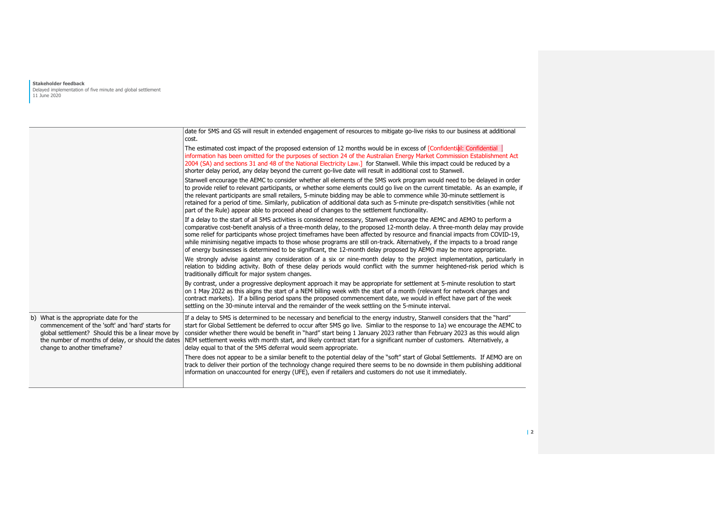|                                                                                                                                                                                                                                         | date for 5MS and GS will result in extended engagement of resources to mitigate go-live risks to our business at additional<br>cost.                                                                                                                                                                                                                                                                                                                                                                                                                                                                                                     |
|-----------------------------------------------------------------------------------------------------------------------------------------------------------------------------------------------------------------------------------------|------------------------------------------------------------------------------------------------------------------------------------------------------------------------------------------------------------------------------------------------------------------------------------------------------------------------------------------------------------------------------------------------------------------------------------------------------------------------------------------------------------------------------------------------------------------------------------------------------------------------------------------|
|                                                                                                                                                                                                                                         | The estimated cost impact of the proposed extension of 12 months would be in excess of [Confidential: Confidential]<br>information has been omitted for the purposes of section 24 of the Australian Energy Market Commission Establishment Act<br>2004 (SA) and sections 31 and 48 of the National Electricity Law.] for Stanwell. While this impact could be reduced by a<br>shorter delay period, any delay beyond the current go-live date will result in additional cost to Stanwell.                                                                                                                                               |
|                                                                                                                                                                                                                                         | Stanwell encourage the AEMC to consider whether all elements of the 5MS work program would need to be delayed in order<br>to provide relief to relevant participants, or whether some elements could go live on the current timetable. As an example, if<br>the relevant participants are small retailers, 5-minute bidding may be able to commence while 30-minute settlement is<br>retained for a period of time. Similarly, publication of additional data such as 5-minute pre-dispatch sensitivities (while not<br>part of the Rule) appear able to proceed ahead of changes to the settlement functionality.                       |
|                                                                                                                                                                                                                                         | If a delay to the start of all 5MS activities is considered necessary, Stanwell encourage the AEMC and AEMO to perform a<br>comparative cost-benefit analysis of a three-month delay, to the proposed 12-month delay. A three-month delay may provide<br>some relief for participants whose project timeframes have been affected by resource and financial impacts from COVID-19,<br>while minimising negative impacts to those whose programs are still on-track. Alternatively, if the impacts to a broad range<br>of energy businesses is determined to be significant, the 12-month delay proposed by AEMO may be more appropriate. |
|                                                                                                                                                                                                                                         | We strongly advise against any consideration of a six or nine-month delay to the project implementation, particularly in<br>relation to bidding activity. Both of these delay periods would conflict with the summer heightened-risk period which is<br>traditionally difficult for major system changes.                                                                                                                                                                                                                                                                                                                                |
|                                                                                                                                                                                                                                         | By contrast, under a progressive deployment approach it may be appropriate for settlement at 5-minute resolution to start<br>on 1 May 2022 as this aligns the start of a NEM billing week with the start of a month (relevant for network charges and<br>contract markets). If a billing period spans the proposed commencement date, we would in effect have part of the week<br>settling on the 30-minute interval and the remainder of the week settling on the 5-minute interval.                                                                                                                                                    |
| b) What is the appropriate date for the<br>commencement of the 'soft' and 'hard' starts for<br>global settlement? Should this be a linear move by<br>the number of months of delay, or should the dates<br>change to another timeframe? | If a delay to 5MS is determined to be necessary and beneficial to the energy industry, Stanwell considers that the "hard"<br>start for Global Settlement be deferred to occur after 5MS go live. Simliar to the response to 1a) we encourage the AEMC to<br>consider whether there would be benefit in "hard" start being 1 January 2023 rather than February 2023 as this would align<br>NEM settlement weeks with month start, and likely contract start for a significant number of customers. Alternatively, a<br>delay equal to that of the 5MS deferral would seem appropriate.                                                    |
|                                                                                                                                                                                                                                         | There does not appear to be a similar benefit to the potential delay of the "soft" start of Global Settlements. If AEMO are on<br>track to deliver their portion of the technology change required there seems to be no downside in them publishing additional<br>information on unaccounted for energy (UFE), even if retailers and customers do not use it immediately.                                                                                                                                                                                                                                                                |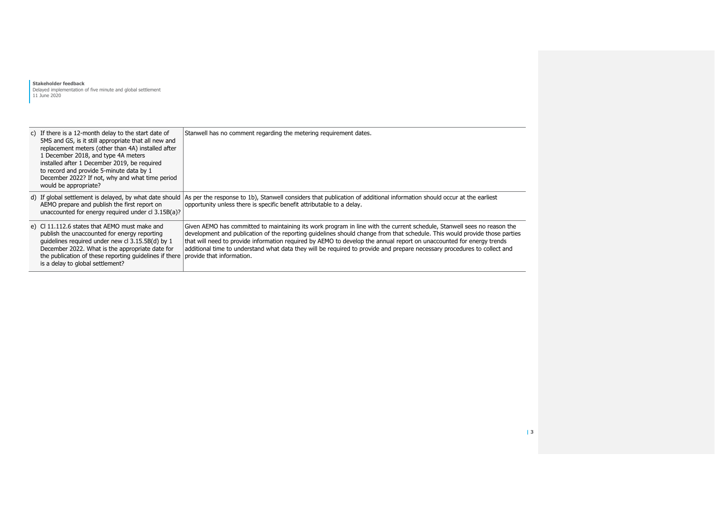| c) If there is a 12-month delay to the start date of<br>5MS and GS, is it still appropriate that all new and<br>replacement meters (other than 4A) installed after<br>1 December 2018, and type 4A meters<br>installed after 1 December 2019, be required<br>to record and provide 5-minute data by 1<br>December 2022? If not, why and what time period<br>would be appropriate? | Stanwell has no comment regarding the metering requirement dates.                                                                                                                                                                                                                                                                                                                                                                                                                                                                      |
|-----------------------------------------------------------------------------------------------------------------------------------------------------------------------------------------------------------------------------------------------------------------------------------------------------------------------------------------------------------------------------------|----------------------------------------------------------------------------------------------------------------------------------------------------------------------------------------------------------------------------------------------------------------------------------------------------------------------------------------------------------------------------------------------------------------------------------------------------------------------------------------------------------------------------------------|
| d) If global settlement is delayed, by what date should<br>AEMO prepare and publish the first report on<br>unaccounted for energy required under cl 3.15B(a)?                                                                                                                                                                                                                     | As per the response to 1b), Stanwell considers that publication of additional information should occur at the earliest<br>opportunity unless there is specific benefit attributable to a delay.                                                                                                                                                                                                                                                                                                                                        |
| e) CI 11.112.6 states that AEMO must make and<br>publish the unaccounted for energy reporting<br>quidelines required under new cl 3.15.5B(d) by 1<br>December 2022. What is the appropriate date for<br>the publication of these reporting quidelines if there<br>is a delay to global settlement?                                                                                | Given AEMO has committed to maintaining its work program in line with the current schedule, Stanwell sees no reason the<br>development and publication of the reporting quidelines should change from that schedule. This would provide those parties<br>that will need to provide information required by AEMO to develop the annual report on unaccounted for energy trends<br>additional time to understand what data they will be required to provide and prepare necessary procedures to collect and<br>provide that information. |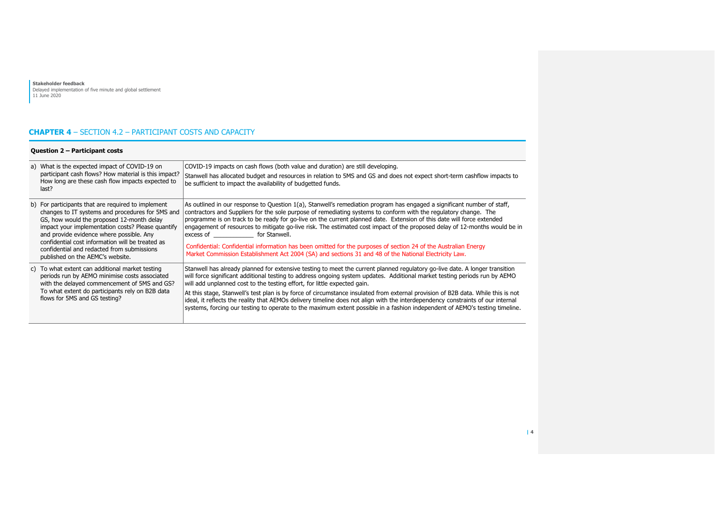# **CHAPTER 4** – SECTION 4.2 – PARTICIPANT COSTS AND CAPACITY

|  |  | Question 2 – Participant costs |  |
|--|--|--------------------------------|--|
|--|--|--------------------------------|--|

| a) What is the expected impact of COVID-19 on<br>participant cash flows? How material is this impact?<br>How long are these cash flow impacts expected to<br>last?                                                                                                                                                                                                                         | COVID-19 impacts on cash flows (both value and duration) are still developing.<br>Stanwell has allocated budget and resources in relation to 5MS and GS and does not expect short-term cashflow impacts to<br>be sufficient to impact the availability of budgetted funds.                                                                                                                                                                                                                                                                                                                                                                                                                                                                                         |
|--------------------------------------------------------------------------------------------------------------------------------------------------------------------------------------------------------------------------------------------------------------------------------------------------------------------------------------------------------------------------------------------|--------------------------------------------------------------------------------------------------------------------------------------------------------------------------------------------------------------------------------------------------------------------------------------------------------------------------------------------------------------------------------------------------------------------------------------------------------------------------------------------------------------------------------------------------------------------------------------------------------------------------------------------------------------------------------------------------------------------------------------------------------------------|
| b) For participants that are required to implement<br>changes to IT systems and procedures for 5MS and<br>GS, how would the proposed 12-month delay<br>impact your implementation costs? Please quantify<br>and provide evidence where possible. Any<br>confidential cost information will be treated as<br>confidential and redacted from submissions<br>published on the AEMC's website. | As outlined in our response to Question 1(a), Stanwell's remediation program has engaged a significant number of staff,<br>contractors and Suppliers for the sole purpose of remediating systems to conform with the regulatory change. The<br>programme is on track to be ready for go-live on the current planned date. Extension of this date will force extended<br>engagement of resources to mitigate go-live risk. The estimated cost impact of the proposed delay of 12-months would be in<br>excess of The Team for Stanwell.<br>Confidential: Confidential information has been omitted for the purposes of section 24 of the Australian Energy<br>Market Commission Establishment Act 2004 (SA) and sections 31 and 48 of the National Electricity Law. |
| c) To what extent can additional market testing<br>periods run by AEMO minimise costs associated<br>with the delayed commencement of 5MS and GS?<br>To what extent do participants rely on B2B data<br>flows for 5MS and GS testing?                                                                                                                                                       | Stanwell has already planned for extensive testing to meet the current planned regulatory go-live date. A longer transition<br>will force significant additional testing to address ongoing system updates. Additional market testing periods run by AEMO<br>will add unplanned cost to the testing effort, for little expected gain.<br>At this stage, Stanwell's test plan is by force of circumstance insulated from external provision of B2B data. While this is not<br>ideal, it reflects the reality that AEMOs delivery timeline does not align with the interdependency constraints of our internal<br>systems, forcing our testing to operate to the maximum extent possible in a fashion independent of AEMO's testing timeline.                        |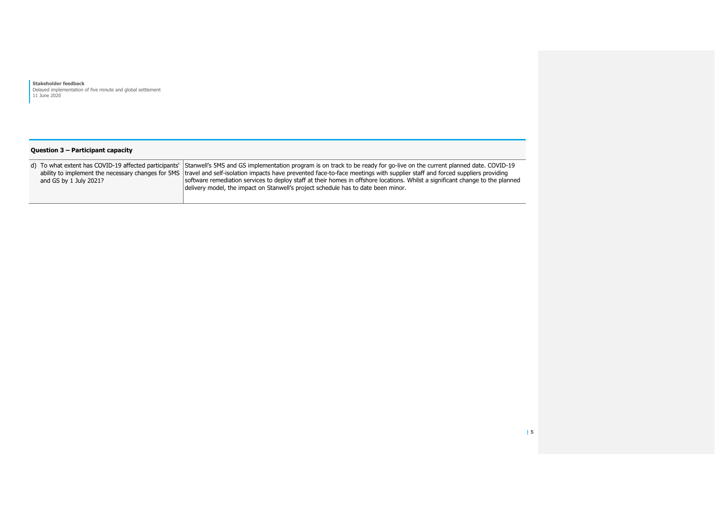| Question 3 – Participant capacity |                                                                                                                                                                                                                                                                                                                                                                                                                                                                                                                                                                                     |  |
|-----------------------------------|-------------------------------------------------------------------------------------------------------------------------------------------------------------------------------------------------------------------------------------------------------------------------------------------------------------------------------------------------------------------------------------------------------------------------------------------------------------------------------------------------------------------------------------------------------------------------------------|--|
| and GS by 1 July 2021?            | d) To what extent has COVID-19 affected participants' Stanwell's 5MS and GS implementation program is on track to be ready for go-live on the current planned date. COVID-19<br>ability to implement the necessary changes for 5MS travel and self-isolation impacts have prevented face-to-face meetings with supplier staff and forced suppliers providing<br>software remediation services to deploy staff at their homes in offshore locations. Whilst a significant change to the planned<br>delivery model, the impact on Stanwell's project schedule has to date been minor. |  |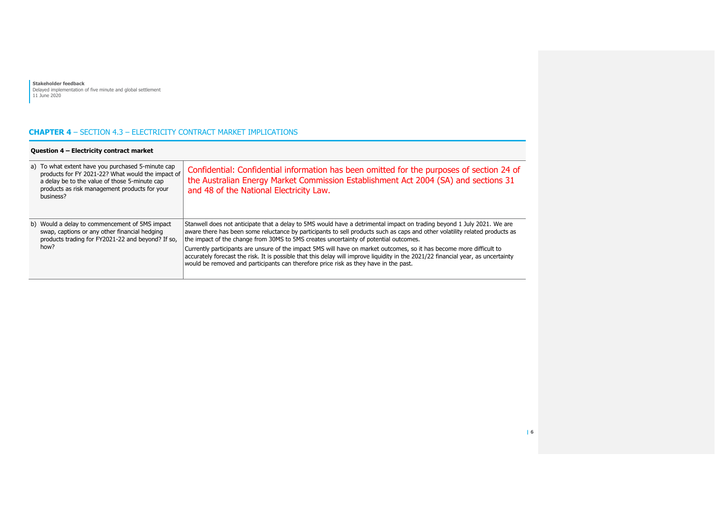# **CHAPTER 4** – SECTION 4.3 – ELECTRICITY CONTRACT MARKET IMPLICATIONS

| Question 4 – Electricity contract market                                                                                                                                                                              |                                                                                                                                                                                                                                                                                                                                                                                                                                                                                                                                                                                                                                                                                                    |  |  |  |
|-----------------------------------------------------------------------------------------------------------------------------------------------------------------------------------------------------------------------|----------------------------------------------------------------------------------------------------------------------------------------------------------------------------------------------------------------------------------------------------------------------------------------------------------------------------------------------------------------------------------------------------------------------------------------------------------------------------------------------------------------------------------------------------------------------------------------------------------------------------------------------------------------------------------------------------|--|--|--|
| a) To what extent have you purchased 5-minute cap<br>products for FY 2021-22? What would the impact of<br>a delay be to the value of those 5-minute cap<br>products as risk management products for your<br>business? | Confidential: Confidential information has been omitted for the purposes of section 24 of<br>the Australian Energy Market Commission Establishment Act 2004 (SA) and sections 31<br>and 48 of the National Electricity Law.                                                                                                                                                                                                                                                                                                                                                                                                                                                                        |  |  |  |
| b) Would a delay to commencement of 5MS impact<br>swap, captions or any other financial hedging<br>products trading for FY2021-22 and beyond? If so,<br>how?                                                          | Stanwell does not anticipate that a delay to 5MS would have a detrimental impact on trading beyond 1 July 2021. We are<br>aware there has been some reluctance by participants to sell products such as caps and other volatility related products as<br>the impact of the change from 30MS to 5MS creates uncertainty of potential outcomes.<br>Currently participants are unsure of the impact 5MS will have on market outcomes, so it has become more difficult to<br>accurately forecast the risk. It is possible that this delay will improve liquidity in the 2021/22 financial year, as uncertainty<br>would be removed and participants can therefore price risk as they have in the past. |  |  |  |
|                                                                                                                                                                                                                       |                                                                                                                                                                                                                                                                                                                                                                                                                                                                                                                                                                                                                                                                                                    |  |  |  |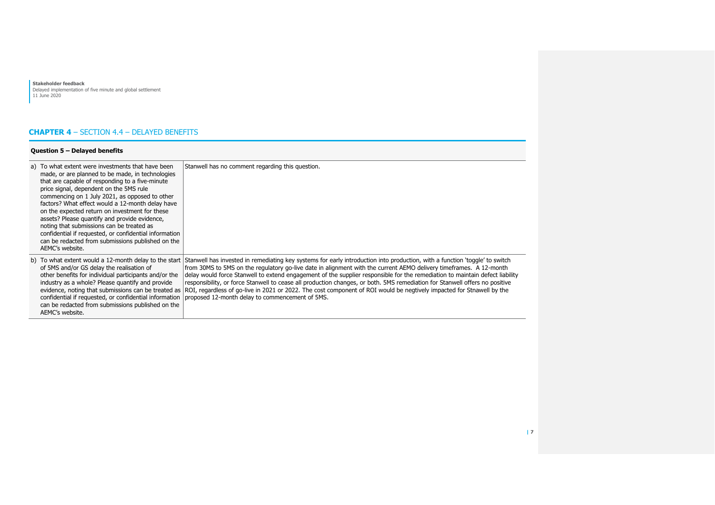#### **CHAPTER 4** – SECTION 4.4 – DELAYED BENEFITS

#### **Question 5 – Delayed benefits** a) To what extent were investments that have been made, or are planned to be made, in technologies that are capable of responding to a five-minute price signal, dependent on the 5MS rule commencing on 1 July 2021, as opposed to other factors? What effect would a 12-month delay have on the expected return on investment for these assets? Please quantify and provide evidence, noting that submissions can be treated as confidential if requested, or confidential information can be redacted from submissions published on the AEMC's website. Stanwell has no comment regarding this question. b) To what extent would a 12-month delay to the start of 5MS and/or GS delay the realisation of other benefits for individual participants and/or the industry as a whole? Please quantify and provide evidence, noting that submissions can be treated as confidential if requested, or confidential information can be redacted from submissions published on the AEMC's website. Stanwell has invested in remediating key systems for early introduction into production, with a function 'toggle' to switch from 30MS to 5MS on the regulatory go-live date in alignment with the current AEMO delivery timeframes. A 12-month delay would force Stanwell to extend engagement of the supplier responsible for the remediation to maintain defect liability responsibility, or force Stanwell to cease all production changes, or both. 5MS remediation for Stanwell offers no positive ROI, regardless of go-live in 2021 or 2022. The cost component of ROI would be negtively impacted for Stnawell by the proposed 12-month delay to commencement of 5MS.